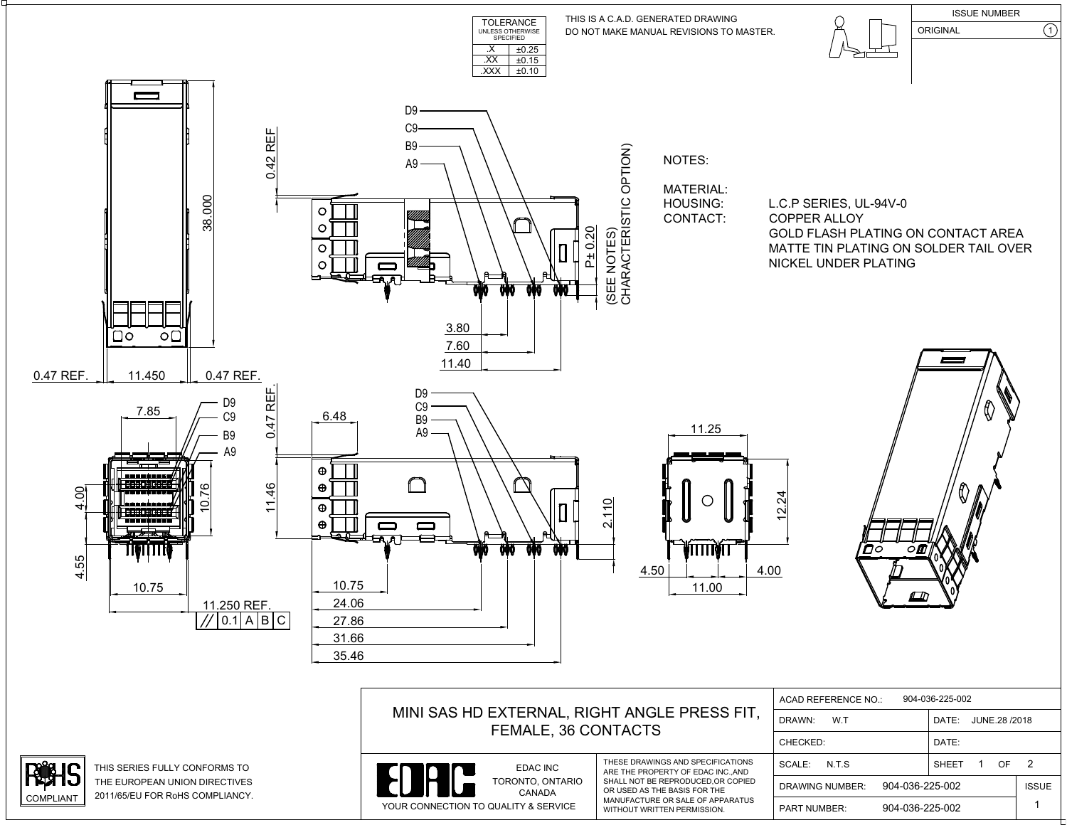